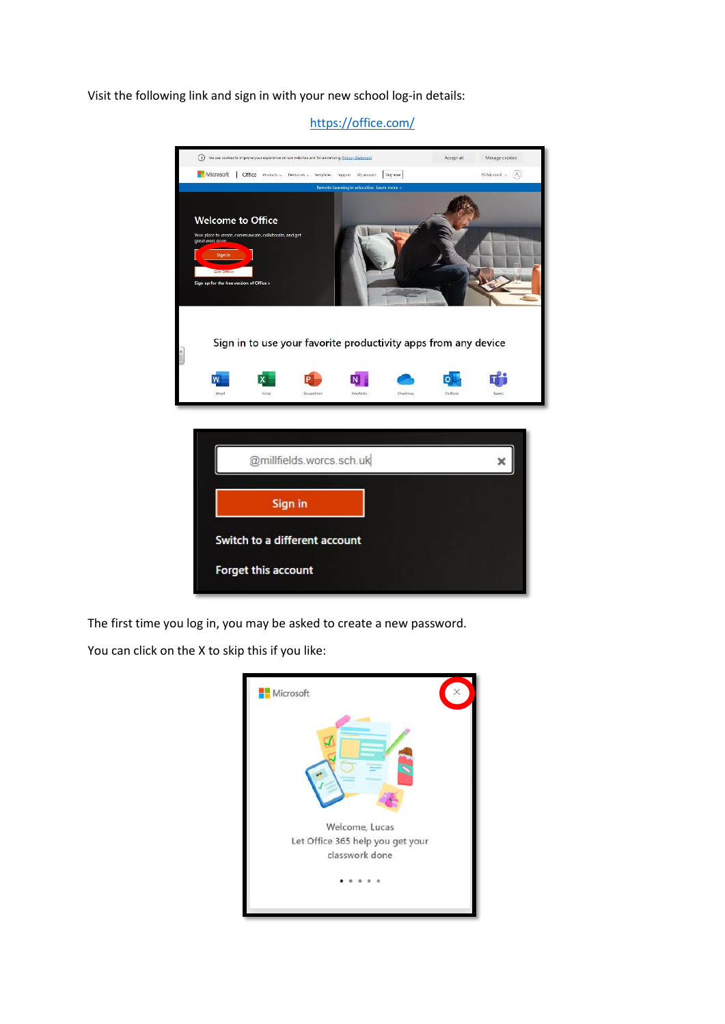Visit the following link and sign in with your new school log-in details:



<https://office.com/>

The first time you log in, you may be asked to create a new password.

You can click on the X to skip this if you like:

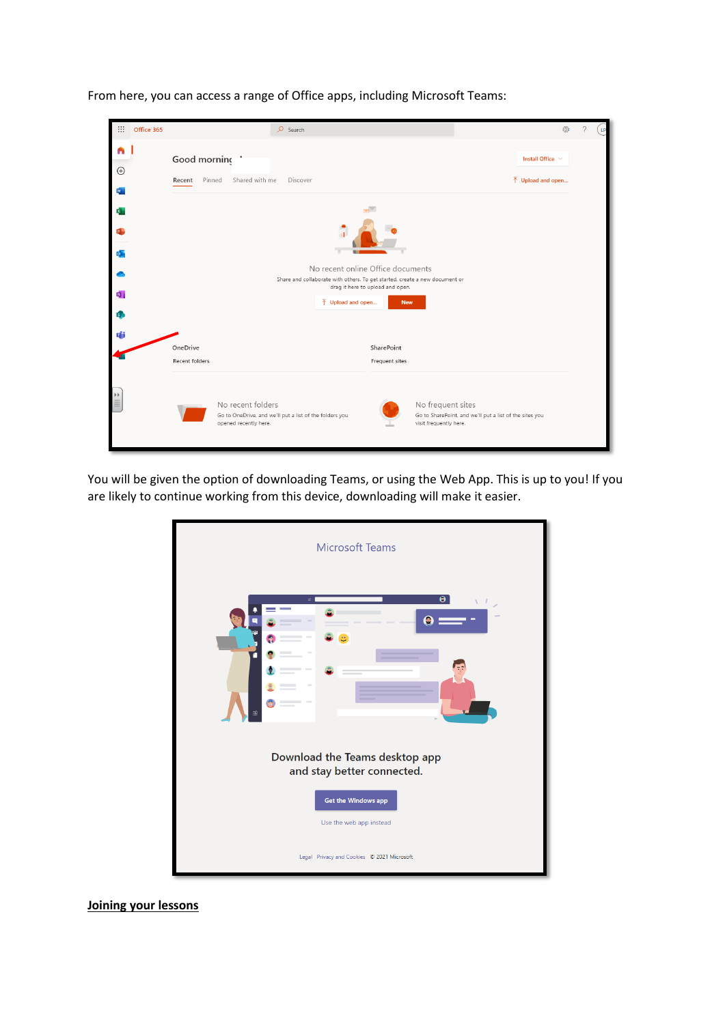

From here, you can access a range of Office apps, including Microsoft Teams:

You will be given the option of downloading Teams, or using the Web App. This is up to you! If you are likely to continue working from this device, downloading will make it easier.



**Joining your lessons**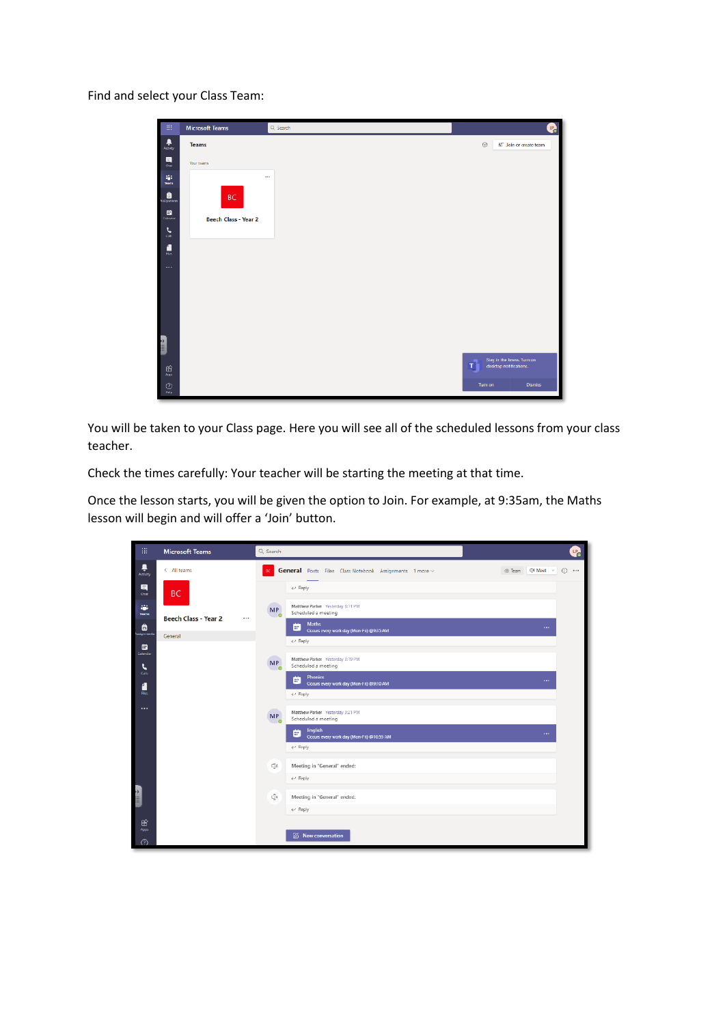Find and select your Class Team:

| $\mathop{\mathbb{H}}$<br>٠                                                                                                                                                                                                                                                                                                         | <b>Microsoft Teams</b> | Q. Search | $\mathbf{L}$                                             |
|------------------------------------------------------------------------------------------------------------------------------------------------------------------------------------------------------------------------------------------------------------------------------------------------------------------------------------|------------------------|-----------|----------------------------------------------------------|
| I<br>$\frac{1}{\lambda_{\text{min}}}$                                                                                                                                                                                                                                                                                              | <b>Teams</b>           |           | 85° Join or create team<br>O.                            |
|                                                                                                                                                                                                                                                                                                                                    | Your teams             |           |                                                          |
|                                                                                                                                                                                                                                                                                                                                    | $\sim$                 |           |                                                          |
|                                                                                                                                                                                                                                                                                                                                    | <b>BC</b>              |           |                                                          |
| $\frac{1}{\text{coker}}$                                                                                                                                                                                                                                                                                                           | Beech Class - Year 2   |           |                                                          |
| I<br>$\sum_{i=1}^n$                                                                                                                                                                                                                                                                                                                |                        |           |                                                          |
| $\frac{1}{2}$                                                                                                                                                                                                                                                                                                                      |                        |           |                                                          |
| $\cdots$                                                                                                                                                                                                                                                                                                                           |                        |           |                                                          |
| $\begin{bmatrix} 1 & 0 & 0 \\ 0 & 0 & 0 \\ 0 & 0 & 0 \\ 0 & 0 & 0 \\ 0 & 0 & 0 \\ 0 & 0 & 0 \\ 0 & 0 & 0 \\ 0 & 0 & 0 \\ 0 & 0 & 0 \\ 0 & 0 & 0 \\ 0 & 0 & 0 \\ 0 & 0 & 0 \\ 0 & 0 & 0 \\ 0 & 0 & 0 \\ 0 & 0 & 0 & 0 \\ 0 & 0 & 0 & 0 \\ 0 & 0 & 0 & 0 \\ 0 & 0 & 0 & 0 \\ 0 & 0 & 0 & 0 & 0 \\ 0 & 0 & 0 & 0 & 0 \\ 0 & 0 & 0 & $ |                        |           |                                                          |
|                                                                                                                                                                                                                                                                                                                                    |                        |           |                                                          |
| $\frac{\hat{H}^2}{\hat{A}_{\rm{BS}}}$                                                                                                                                                                                                                                                                                              |                        |           | Stay in the know. Turn on<br>desktop notifications.<br>т |
| $\bigodot_{{\sf Indp}}$                                                                                                                                                                                                                                                                                                            |                        |           | Turn on<br>Dismiss                                       |

You will be taken to your Class page. Here you will see all of the scheduled lessons from your class teacher.

Check the times carefully: Your teacher will be starting the meeting at that time.

Once the lesson starts, you will be given the option to Join. For example, at 9:35am, the Maths lesson will begin and will offer a 'Join' button.

| 排                      | <b>Microsoft Teams</b>          | Q Search                    |                                                                   |                | $P_{\rm C}$      |
|------------------------|---------------------------------|-----------------------------|-------------------------------------------------------------------|----------------|------------------|
| ٠<br>Activity          | $\langle$ All teams             | <b>BC</b>                   | General Posts Files Class Notebook Assignments 1 more ~           | Team CI Meet v | $\odot$ $\cdots$ |
| $\blacksquare$<br>Chat | <b>BC</b>                       |                             | $\leftarrow$ Reply                                                |                |                  |
| ä,<br><b>Teams</b>     | <b>Beech Class - Year 2</b><br> | <b>MP</b><br>$\sim$         | Matthew Parker Yesterday 3:11 PM<br>Scheduled a meeting           |                |                  |
| ₿<br>usignments        | General                         |                             | <b>Maths</b><br>m<br>Occurs every work day (Mon-Fri) @9:35 AM     | $\cdots$       |                  |
| ▩<br>Calendar          |                                 |                             | Reply</th <th></th> <th></th>                                     |                |                  |
| L                      |                                 | MP<br>$\bullet$             | Matthew Parker Yesterday 3:19 PM<br>Scheduled a meeting           |                |                  |
| <b>Calls</b><br>4      |                                 |                             | <b>Phonics</b><br>ar.<br>Occurs every work day (Mon-Fri) @9:10 AM | $\cdots$       |                  |
| Files.                 |                                 |                             | $\leftarrow$ Reply                                                |                |                  |
| $\cdots$               |                                 | œ<br><b>MP</b><br>$\bullet$ | Matthew Parker Yesterday 3:21 PM<br>Scheduled a meeting           |                |                  |
|                        |                                 |                             | English<br>m<br>Occurs every work day (Mon-Fri) @10:55 AM         | $\cdots$       |                  |
|                        |                                 |                             | $\leftarrow$ Reply                                                |                |                  |
|                        |                                 | Φ                           | Meeting in "General" ended:                                       |                |                  |
|                        |                                 |                             | $\leftarrow$ Reply                                                |                |                  |
| <b>Am</b>              |                                 | ⊕                           | Meeting in "General" ended:                                       |                |                  |
|                        |                                 |                             | $\leftrightarrow$ Reply                                           |                |                  |
| 田<br>Apps              |                                 |                             |                                                                   |                |                  |
| ⊙                      |                                 |                             | A New conversation                                                |                |                  |